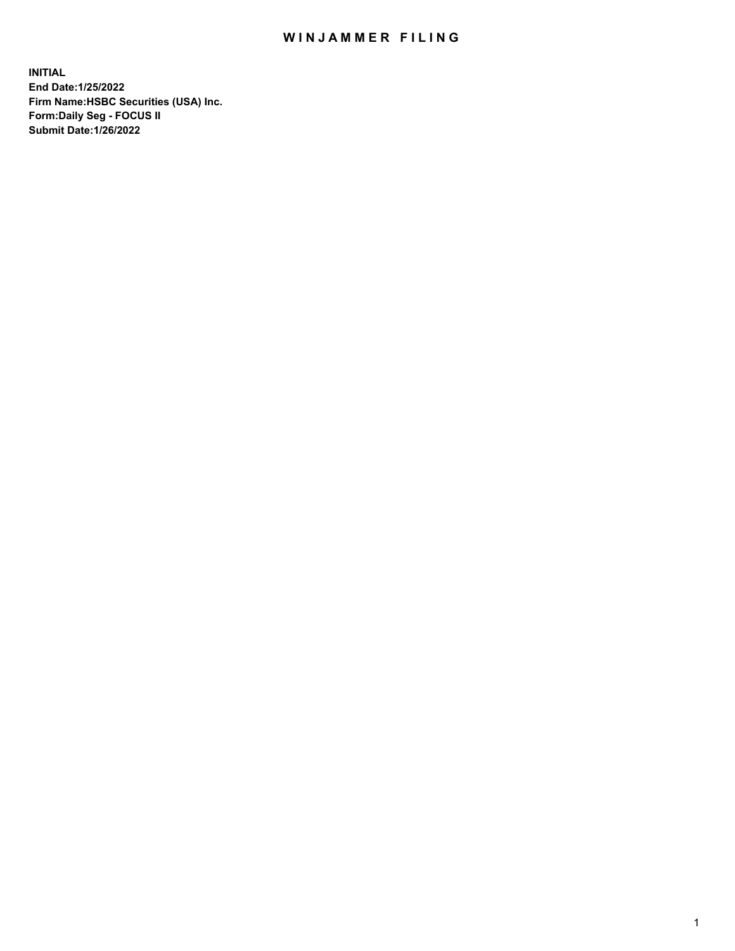## WIN JAMMER FILING

**INITIAL End Date:1/25/2022 Firm Name:HSBC Securities (USA) Inc. Form:Daily Seg - FOCUS II Submit Date:1/26/2022**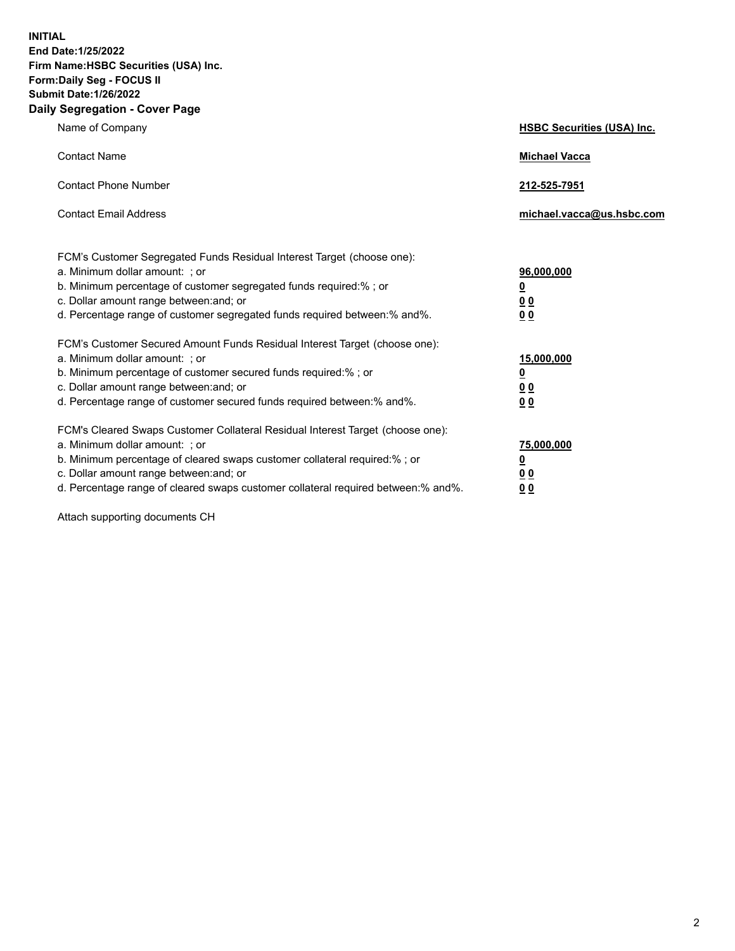**INITIAL End Date:1/25/2022 Firm Name:HSBC Securities (USA) Inc. Form:Daily Seg - FOCUS II Submit Date:1/26/2022 Daily Segregation - Cover Page**

| Name of Company                                                                                                                                                                                                                                                                                                                | <b>HSBC Securities (USA) Inc.</b>                          |
|--------------------------------------------------------------------------------------------------------------------------------------------------------------------------------------------------------------------------------------------------------------------------------------------------------------------------------|------------------------------------------------------------|
| <b>Contact Name</b>                                                                                                                                                                                                                                                                                                            | <b>Michael Vacca</b>                                       |
| <b>Contact Phone Number</b>                                                                                                                                                                                                                                                                                                    | 212-525-7951                                               |
| <b>Contact Email Address</b>                                                                                                                                                                                                                                                                                                   | michael.vacca@us.hsbc.com                                  |
| FCM's Customer Segregated Funds Residual Interest Target (choose one):<br>a. Minimum dollar amount: ; or<br>b. Minimum percentage of customer segregated funds required:% ; or<br>c. Dollar amount range between: and; or<br>d. Percentage range of customer segregated funds required between:% and%.                         | 96,000,000<br><u>0</u><br>0 <sub>0</sub><br>00             |
| FCM's Customer Secured Amount Funds Residual Interest Target (choose one):<br>a. Minimum dollar amount: ; or<br>b. Minimum percentage of customer secured funds required:%; or<br>c. Dollar amount range between: and; or<br>d. Percentage range of customer secured funds required between:% and%.                            | 15,000,000<br><u>0</u><br>0 <sub>0</sub><br>0 <sub>0</sub> |
| FCM's Cleared Swaps Customer Collateral Residual Interest Target (choose one):<br>a. Minimum dollar amount: ; or<br>b. Minimum percentage of cleared swaps customer collateral required:% ; or<br>c. Dollar amount range between: and; or<br>d. Percentage range of cleared swaps customer collateral required between:% and%. | 75,000,000<br><u>0</u><br><u>00</u><br>00                  |

Attach supporting documents CH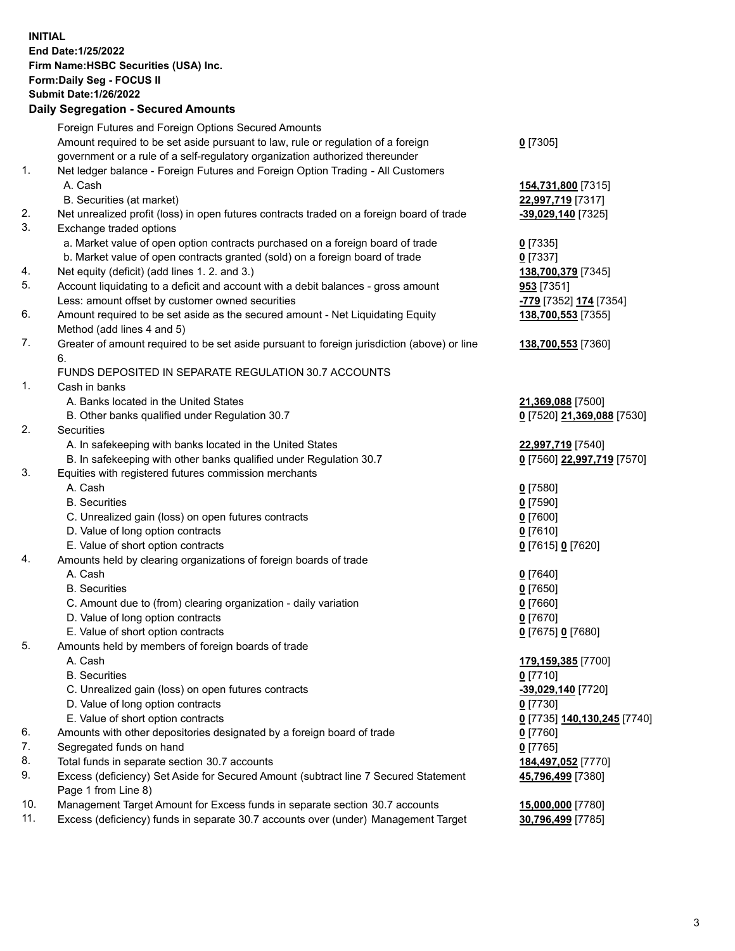**INITIAL End Date:1/25/2022 Firm Name:HSBC Securities (USA) Inc. Form:Daily Seg - FOCUS II Submit Date:1/26/2022 Daily Segregation - Secured Amounts** Foreign Futures and Foreign Options Secured Amounts Amount required to be set aside pursuant to law, rule or regulation of a foreign government or a rule of a self-regulatory organization authorized thereunder **0** [7305] 1. Net ledger balance - Foreign Futures and Foreign Option Trading - All Customers A. Cash **154,731,800** [7315] B. Securities (at market) **22,997,719** [7317] 2. Net unrealized profit (loss) in open futures contracts traded on a foreign board of trade **-39,029,140** [7325] 3. Exchange traded options a. Market value of open option contracts purchased on a foreign board of trade **0** [7335] b. Market value of open contracts granted (sold) on a foreign board of trade **0** [7337] 4. Net equity (deficit) (add lines 1. 2. and 3.) **138,700,379** [7345] 5. Account liquidating to a deficit and account with a debit balances - gross amount **953** [7351] Less: amount offset by customer owned securities **-779** [7352] **174** [7354] 6. Amount required to be set aside as the secured amount - Net Liquidating Equity Method (add lines 4 and 5) **138,700,553** [7355] 7. Greater of amount required to be set aside pursuant to foreign jurisdiction (above) or line 6. **138,700,553** [7360] FUNDS DEPOSITED IN SEPARATE REGULATION 30.7 ACCOUNTS 1. Cash in banks A. Banks located in the United States **21,369,088** [7500] B. Other banks qualified under Regulation 30.7 **0** [7520] **21,369,088** [7530] 2. Securities A. In safekeeping with banks located in the United States **22,997,719** [7540] B. In safekeeping with other banks qualified under Regulation 30.7 **0** [7560] **22,997,719** [7570] 3. Equities with registered futures commission merchants A. Cash **0** [7580] B. Securities **0** [7590] C. Unrealized gain (loss) on open futures contracts **0** [7600] D. Value of long option contracts **0** [7610] E. Value of short option contracts **0** [7615] **0** [7620] 4. Amounts held by clearing organizations of foreign boards of trade A. Cash **0** [7640] B. Securities **0** [7650] C. Amount due to (from) clearing organization - daily variation **0** [7660] D. Value of long option contracts **0** [7670] E. Value of short option contracts **0** [7675] **0** [7680] 5. Amounts held by members of foreign boards of trade A. Cash **179,159,385** [7700] B. Securities **0** [7710] C. Unrealized gain (loss) on open futures contracts **-39,029,140** [7720] D. Value of long option contracts **0** [7730] E. Value of short option contracts **0** [7735] **140,130,245** [7740] 6. Amounts with other depositories designated by a foreign board of trade **0** [7760] 7. Segregated funds on hand **0** [7765] 8. Total funds in separate section 30.7 accounts **184,497,052** [7770] 9. Excess (deficiency) Set Aside for Secured Amount (subtract line 7 Secured Statement Page 1 from Line 8) **45,796,499** [7380]

10. Management Target Amount for Excess funds in separate section 30.7 accounts **15,000,000** [7780]

11. Excess (deficiency) funds in separate 30.7 accounts over (under) Management Target **30,796,499** [7785]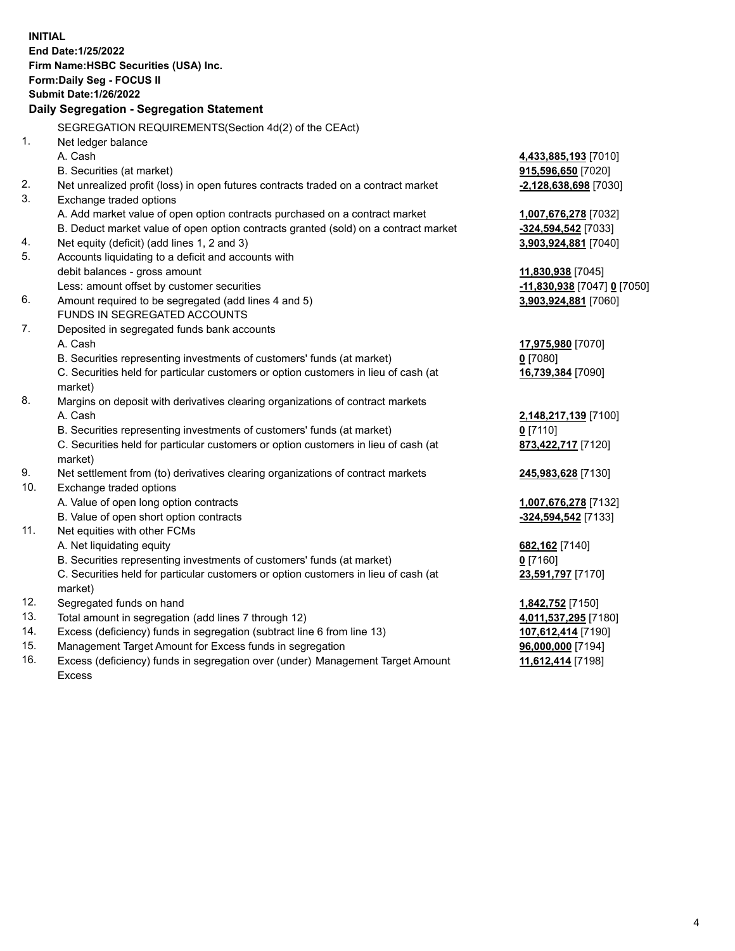**INITIAL End Date:1/25/2022 Firm Name:HSBC Securities (USA) Inc. Form:Daily Seg - FOCUS II Submit Date:1/26/2022 Daily Segregation - Segregation Statement** SEGREGATION REQUIREMENTS(Section 4d(2) of the CEAct) 1. Net ledger balance A. Cash **4,433,885,193** [7010] B. Securities (at market) **915,596,650** [7020] 2. Net unrealized profit (loss) in open futures contracts traded on a contract market **-2,128,638,698** [7030] 3. Exchange traded options A. Add market value of open option contracts purchased on a contract market **1,007,676,278** [7032] B. Deduct market value of open option contracts granted (sold) on a contract market **-324,594,542** [7033] 4. Net equity (deficit) (add lines 1, 2 and 3) **3,903,924,881** [7040] 5. Accounts liquidating to a deficit and accounts with debit balances - gross amount **11,830,938** [7045] Less: amount offset by customer securities **-11,830,938** [7047] **0** [7050] 6. Amount required to be segregated (add lines 4 and 5) **3,903,924,881** [7060] FUNDS IN SEGREGATED ACCOUNTS 7. Deposited in segregated funds bank accounts A. Cash **17,975,980** [7070] B. Securities representing investments of customers' funds (at market) **0** [7080] C. Securities held for particular customers or option customers in lieu of cash (at market) **16,739,384** [7090] 8. Margins on deposit with derivatives clearing organizations of contract markets A. Cash **2,148,217,139** [7100] B. Securities representing investments of customers' funds (at market) **0** [7110] C. Securities held for particular customers or option customers in lieu of cash (at market) **873,422,717** [7120] 9. Net settlement from (to) derivatives clearing organizations of contract markets **245,983,628** [7130] 10. Exchange traded options A. Value of open long option contracts **1,007,676,278** [7132] B. Value of open short option contracts **-324,594,542** [7133] 11. Net equities with other FCMs A. Net liquidating equity **682,162** [7140] B. Securities representing investments of customers' funds (at market) **0** [7160] C. Securities held for particular customers or option customers in lieu of cash (at market) **23,591,797** [7170] 12. Segregated funds on hand **1,842,752** [7150] 13. Total amount in segregation (add lines 7 through 12) **4,011,537,295** [7180] 14. Excess (deficiency) funds in segregation (subtract line 6 from line 13) **107,612,414** [7190] 15. Management Target Amount for Excess funds in segregation **96,000,000** [7194]

16. Excess (deficiency) funds in segregation over (under) Management Target Amount Excess

**11,612,414** [7198]